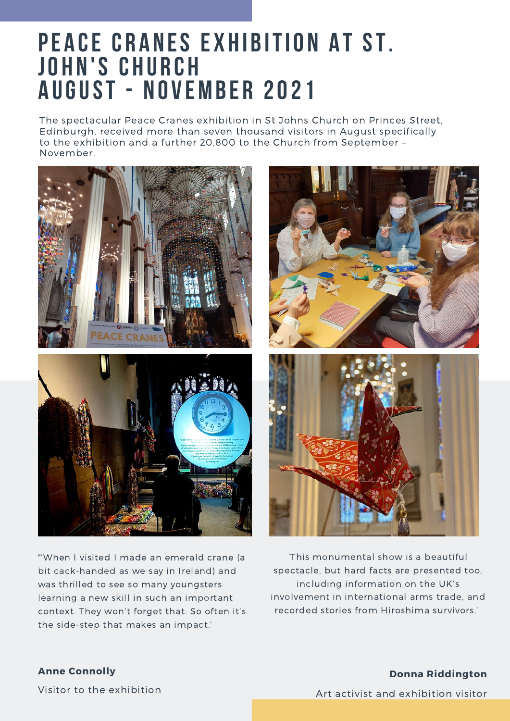## **PEACE CRANES EXHIBITION AT ST. jo h n 's c h u r c h A ugust - n o v emb e r 2021**

The spectacular Peace Cranes exhibition in St Johns Church on Princes Street, Edinburgh, received more than seven thousand visitors in August specifically to the exhibition and a further 20,800 to the Church from September – November.



"'When I visited I made an emerald crane (a bit cack-handed as we say in Ireland) and was thrilled to see so many youngsters learning a new skill in such an important context. They won't forget that. So often it's the side-step that makes an impact.'



'This monumental show is a beautiful spectacle, but hard facts are presented too, including information on the UK's involvement in international arms trade, and recorded stories from Hiroshima survivors.'

### **Anne Connolly**

Visitor to the exhibition

### **Donna Riddington**

Art activist and exhibition visitor